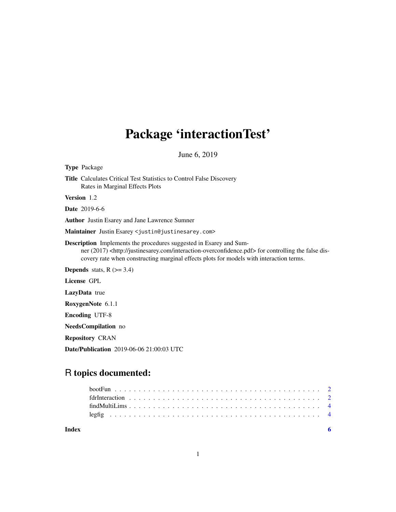# Package 'interactionTest'

June 6, 2019

|             | <b>Type Package</b>                                                                                                                                                                                                                                                                      |
|-------------|------------------------------------------------------------------------------------------------------------------------------------------------------------------------------------------------------------------------------------------------------------------------------------------|
|             | <b>Title</b> Calculates Critical Test Statistics to Control False Discovery<br>Rates in Marginal Effects Plots                                                                                                                                                                           |
| Version 1.2 |                                                                                                                                                                                                                                                                                          |
|             | <b>Date</b> 2019-6-6                                                                                                                                                                                                                                                                     |
|             | <b>Author</b> Justin Esarey and Jane Lawrence Sumner                                                                                                                                                                                                                                     |
|             | M <b>aintainer</b> Justin Esarey <justin@justinesarey.com></justin@justinesarey.com>                                                                                                                                                                                                     |
|             | <b>Description</b> Implements the procedures suggested in Esarey and Sum-<br>ner (2017) <http: interaction-overconfidence.pdf="" justinesarey.com=""> for controlling the false dis-<br/>covery rate when constructing marginal effects plots for models with interaction terms.</http:> |
|             | <b>Depends</b> stats, $R$ ( $>=$ 3.4)                                                                                                                                                                                                                                                    |
|             | License GPL                                                                                                                                                                                                                                                                              |
|             | LazyData true                                                                                                                                                                                                                                                                            |
|             | RoxygenNote 6.1.1                                                                                                                                                                                                                                                                        |
|             | <b>Encoding UTF-8</b>                                                                                                                                                                                                                                                                    |
|             | <b>NeedsCompilation</b> no                                                                                                                                                                                                                                                               |
|             | <b>Repository CRAN</b>                                                                                                                                                                                                                                                                   |

Date/Publication 2019-06-06 21:00:03 UTC

# R topics documented:

| Index |  |  |  |  |  |  |  |  |  |  |  |  |  |  |  |  |  |
|-------|--|--|--|--|--|--|--|--|--|--|--|--|--|--|--|--|--|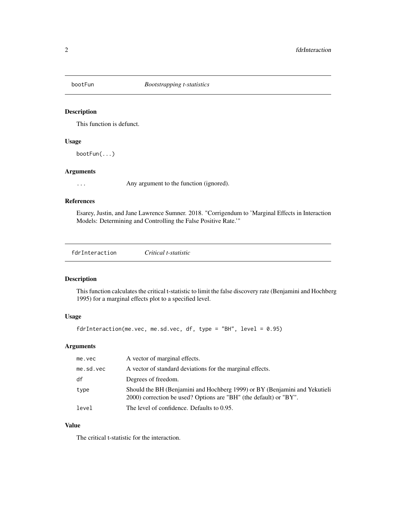<span id="page-1-0"></span>

# Description

This function is defunct.

# Usage

bootFun(...)

# Arguments

... Any argument to the function (ignored).

# References

Esarey, Justin, and Jane Lawrence Sumner. 2018. "Corrigendum to 'Marginal Effects in Interaction Models: Determining and Controlling the False Positive Rate.'"

fdrInteraction *Critical t-statistic*

# Description

This function calculates the critical t-statistic to limit the false discovery rate (Benjamini and Hochberg 1995) for a marginal effects plot to a specified level.

# Usage

```
fdrInteraction(me.vec, me.sd.vec, df, type = "BH", level = 0.95)
```
# Arguments

| me.vec    | A vector of marginal effects.                                                                                                                   |
|-----------|-------------------------------------------------------------------------------------------------------------------------------------------------|
| me.sd.vec | A vector of standard deviations for the marginal effects.                                                                                       |
| df        | Degrees of freedom.                                                                                                                             |
| type      | Should the BH (Benjamini and Hochberg 1999) or BY (Benjamini and Yekutieli<br>2000) correction be used? Options are "BH" (the default) or "BY". |
| level     | The level of confidence. Defaults to 0.95.                                                                                                      |

# Value

The critical t-statistic for the interaction.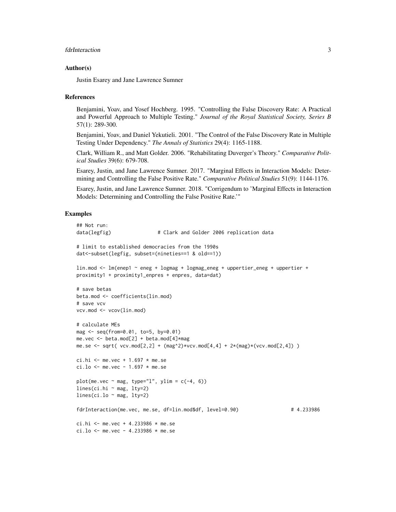# fdrInteraction 3

#### Author(s)

Justin Esarey and Jane Lawrence Sumner

#### References

Benjamini, Yoav, and Yosef Hochberg. 1995. "Controlling the False Discovery Rate: A Practical and Powerful Approach to Multiple Testing." *Journal of the Royal Statistical Society, Series B* 57(1): 289-300.

Benjamini, Yoav, and Daniel Yekutieli. 2001. "The Control of the False Discovery Rate in Multiple Testing Under Dependency." *The Annals of Statistics* 29(4): 1165-1188.

Clark, William R., and Matt Golder. 2006. "Rehabilitating Duverger's Theory." *Comparative Political Studies* 39(6): 679-708.

Esarey, Justin, and Jane Lawrence Sumner. 2017. "Marginal Effects in Interaction Models: Determining and Controlling the False Positive Rate." *Comparative Political Studies* 51(9): 1144-1176.

Esarey, Justin, and Jane Lawrence Sumner. 2018. "Corrigendum to 'Marginal Effects in Interaction Models: Determining and Controlling the False Positive Rate.'"

# Examples

```
## Not run:
data(legfig) \# Clark and Golder 2006 replication data
# limit to established democracies from the 1990s
dat<-subset(legfig, subset=(nineties==1 & old==1))
lin.mod \leq - lm(enep1 \sim eneg + logmag + logmag_eneg + uppertier_eneg + uppertier +
proximity1 + proximity1_enpres + enpres, data=dat)
# save betas
beta.mod <- coefficients(lin.mod)
# save vcv
vcv.mod <- vcov(lin.mod)
# calculate MEs
mag <- seq(from=0.01, to=5, by=0.01)
me.vec <- beta.mod[2] + beta.mod[4]*mag
me.se \le sqrt( vcv.mod[2,2] + (mag^2)*vcv.mod[4,4] + 2*(mag)*(vcv.mod[2,4]) )
ci.hi <- me.vec + 1.697 * me.seci.lo \le me.vec - 1.697 \star me.se
plot(me.vec \sim mag, type="l", ylim = c(-4, 6))
lines(ci.hi ~ mag, lty=2)
lines(ci.lo \sim mag, lty=2)
fdrInteraction(me.vec, me.se, df=lin.mod$df, level=0.90) # 4.233986
ci.hi <- me.vec + 4.233986 * me.se
ci.lo <- me.vec - 4.233986 * me.se
```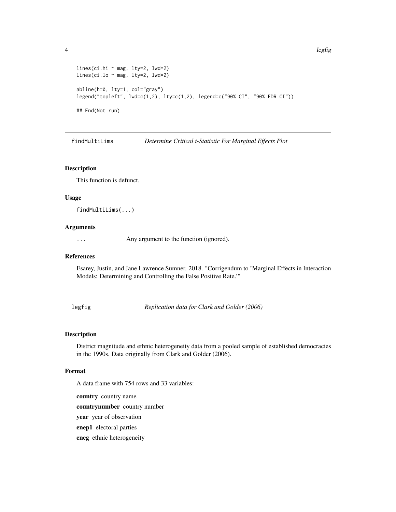```
lines(ci.hi ~ mag, lty=2, lwd=2)
lines(ci.lo \sim mag, lty=2, lwd=2)
abline(h=0, lty=1, col="gray")
legend("topleft", lwd=c(1,2), lty=c(1,2), legend=c("90% CI", "90% FDR CI"))
## End(Not run)
```
findMultiLims *Determine Critical t-Statistic For Marginal Effects Plot*

#### Description

This function is defunct.

#### Usage

findMultiLims(...)

# Arguments

... Any argument to the function (ignored).

#### References

Esarey, Justin, and Jane Lawrence Sumner. 2018. "Corrigendum to 'Marginal Effects in Interaction Models: Determining and Controlling the False Positive Rate.'"

legfig *Replication data for Clark and Golder (2006)*

# Description

District magnitude and ethnic heterogeneity data from a pooled sample of established democracies in the 1990s. Data originally from Clark and Golder (2006).

#### Format

A data frame with 754 rows and 33 variables:

country country name

countrynumber country number

year year of observation

enep1 electoral parties

eneg ethnic heterogeneity

<span id="page-3-0"></span>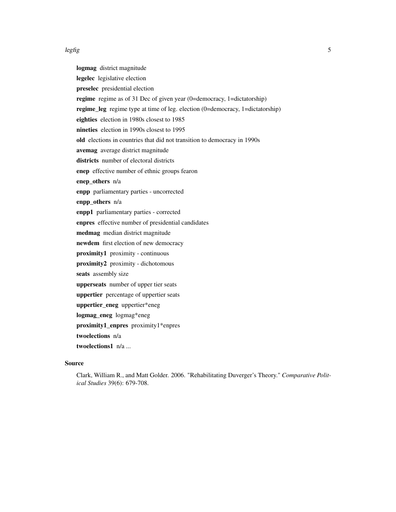#### legfig 5

logmag district magnitude legelec legislative election preselec presidential election regime regime as of 31 Dec of given year (0=democracy, 1=dictatorship) regime\_leg regime type at time of leg. election (0=democracy, 1=dictatorship) eighties election in 1980s closest to 1985 nineties election in 1990s closest to 1995 old elections in countries that did not transition to democracy in 1990s avemag average district magnitude districts number of electoral districts enep effective number of ethnic groups fearon enep\_others n/a enpp parliamentary parties - uncorrected enpp\_others n/a enpp1 parliamentary parties - corrected enpres effective number of presidential candidates medmag median district magnitude newdem first election of new democracy proximity1 proximity - continuous proximity2 proximity - dichotomous seats assembly size upperseats number of upper tier seats uppertier percentage of uppertier seats uppertier\_eneg uppertier\*eneg logmag\_eneg logmag\*eneg proximity1\_enpres proximity1\*enpres twoelections n/a twoelections1 n/a ...

### Source

Clark, William R., and Matt Golder. 2006. "Rehabilitating Duverger's Theory." *Comparative Political Studies* 39(6): 679-708.